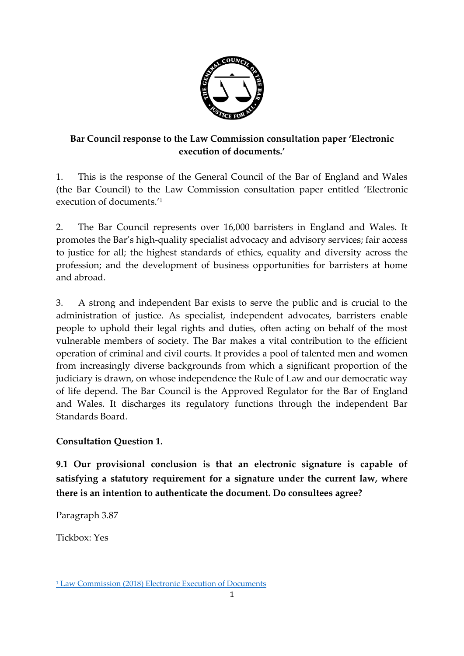

# **Bar Council response to the Law Commission consultation paper 'Electronic execution of documents.'**

1. This is the response of the General Council of the Bar of England and Wales (the Bar Council) to the Law Commission consultation paper entitled 'Electronic execution of documents.' 1

2. The Bar Council represents over 16,000 barristers in England and Wales. It promotes the Bar's high-quality specialist advocacy and advisory services; fair access to justice for all; the highest standards of ethics, equality and diversity across the profession; and the development of business opportunities for barristers at home and abroad.

3. A strong and independent Bar exists to serve the public and is crucial to the administration of justice. As specialist, independent advocates, barristers enable people to uphold their legal rights and duties, often acting on behalf of the most vulnerable members of society. The Bar makes a vital contribution to the efficient operation of criminal and civil courts. It provides a pool of talented men and women from increasingly diverse backgrounds from which a significant proportion of the judiciary is drawn, on whose independence the Rule of Law and our democratic way of life depend. The Bar Council is the Approved Regulator for the Bar of England and Wales. It discharges its regulatory functions through the independent Bar Standards Board.

# **Consultation Question 1.**

**9.1 Our provisional conclusion is that an electronic signature is capable of satisfying a statutory requirement for a signature under the current law, where there is an intention to authenticate the document. Do consultees agree?**

Paragraph 3.87

Tickbox: Yes

 $\overline{a}$ 

<sup>1</sup> [Law Commission \(2018\) Electronic Execution of Documents](https://www.lawcom.gov.uk/project/electronic-execution-of-documents/)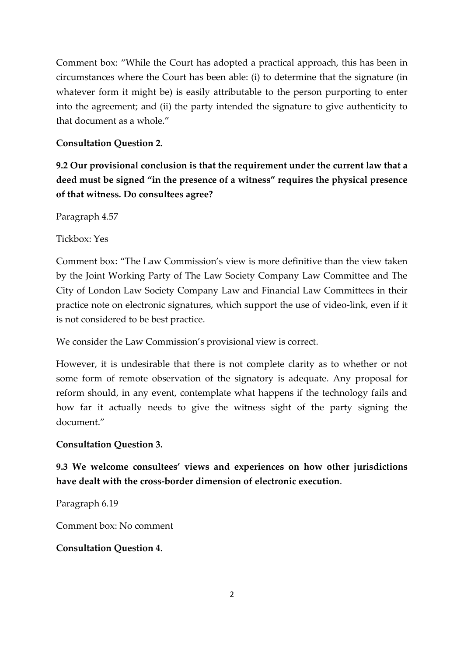Comment box: "While the Court has adopted a practical approach, this has been in circumstances where the Court has been able: (i) to determine that the signature (in whatever form it might be) is easily attributable to the person purporting to enter into the agreement; and (ii) the party intended the signature to give authenticity to that document as a whole."

## **Consultation Question 2.**

**9.2 Our provisional conclusion is that the requirement under the current law that a deed must be signed "in the presence of a witness" requires the physical presence of that witness. Do consultees agree?**

Paragraph 4.57

Tickbox: Yes

Comment box: "The Law Commission's view is more definitive than the view taken by the Joint Working Party of The Law Society Company Law Committee and The City of London Law Society Company Law and Financial Law Committees in their practice note on electronic signatures, which support the use of video-link, even if it is not considered to be best practice.

We consider the Law Commission's provisional view is correct.

However, it is undesirable that there is not complete clarity as to whether or not some form of remote observation of the signatory is adequate. Any proposal for reform should, in any event, contemplate what happens if the technology fails and how far it actually needs to give the witness sight of the party signing the document."

#### **Consultation Question 3.**

**9.3 We welcome consultees' views and experiences on how other jurisdictions have dealt with the cross-border dimension of electronic execution**.

Paragraph 6.19

Comment box: No comment

#### **Consultation Question 4.**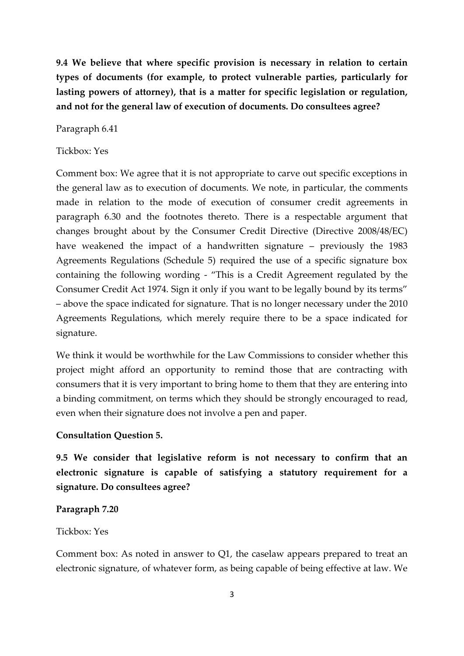**9.4 We believe that where specific provision is necessary in relation to certain types of documents (for example, to protect vulnerable parties, particularly for lasting powers of attorney), that is a matter for specific legislation or regulation, and not for the general law of execution of documents. Do consultees agree?**

Paragraph 6.41

### Tickbox: Yes

Comment box: We agree that it is not appropriate to carve out specific exceptions in the general law as to execution of documents. We note, in particular, the comments made in relation to the mode of execution of consumer credit agreements in paragraph 6.30 and the footnotes thereto. There is a respectable argument that changes brought about by the Consumer Credit Directive (Directive 2008/48/EC) have weakened the impact of a handwritten signature – previously the 1983 Agreements Regulations (Schedule 5) required the use of a specific signature box containing the following wording - "This is a Credit Agreement regulated by the Consumer Credit Act 1974. Sign it only if you want to be legally bound by its terms" – above the space indicated for signature. That is no longer necessary under the 2010 Agreements Regulations, which merely require there to be a space indicated for signature.

We think it would be worthwhile for the Law Commissions to consider whether this project might afford an opportunity to remind those that are contracting with consumers that it is very important to bring home to them that they are entering into a binding commitment, on terms which they should be strongly encouraged to read, even when their signature does not involve a pen and paper.

## **Consultation Question 5.**

**9.5 We consider that legislative reform is not necessary to confirm that an electronic signature is capable of satisfying a statutory requirement for a signature. Do consultees agree?**

#### **Paragraph 7.20**

#### Tickbox: Yes

Comment box: As noted in answer to Q1, the caselaw appears prepared to treat an electronic signature, of whatever form, as being capable of being effective at law. We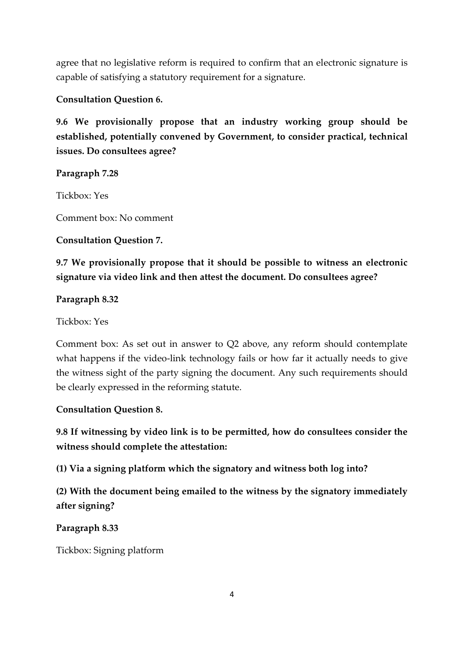agree that no legislative reform is required to confirm that an electronic signature is capable of satisfying a statutory requirement for a signature.

## **Consultation Question 6.**

**9.6 We provisionally propose that an industry working group should be established, potentially convened by Government, to consider practical, technical issues. Do consultees agree?**

## **Paragraph 7.28**

Tickbox: Yes

Comment box: No comment

## **Consultation Question 7.**

**9.7 We provisionally propose that it should be possible to witness an electronic signature via video link and then attest the document. Do consultees agree?**

## **Paragraph 8.32**

Tickbox: Yes

Comment box: As set out in answer to Q2 above, any reform should contemplate what happens if the video-link technology fails or how far it actually needs to give the witness sight of the party signing the document. Any such requirements should be clearly expressed in the reforming statute.

## **Consultation Question 8.**

**9.8 If witnessing by video link is to be permitted, how do consultees consider the witness should complete the attestation:**

**(1) Via a signing platform which the signatory and witness both log into?**

**(2) With the document being emailed to the witness by the signatory immediately after signing?**

## **Paragraph 8.33**

Tickbox: Signing platform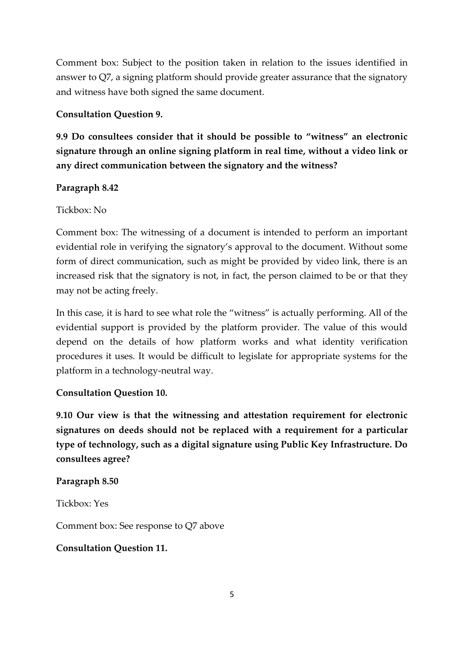Comment box: Subject to the position taken in relation to the issues identified in answer to Q7, a signing platform should provide greater assurance that the signatory and witness have both signed the same document.

### **Consultation Question 9.**

**9.9 Do consultees consider that it should be possible to "witness" an electronic signature through an online signing platform in real time, without a video link or any direct communication between the signatory and the witness?**

### **Paragraph 8.42**

### Tickbox: No

Comment box: The witnessing of a document is intended to perform an important evidential role in verifying the signatory's approval to the document. Without some form of direct communication, such as might be provided by video link, there is an increased risk that the signatory is not, in fact, the person claimed to be or that they may not be acting freely.

In this case, it is hard to see what role the "witness" is actually performing. All of the evidential support is provided by the platform provider. The value of this would depend on the details of how platform works and what identity verification procedures it uses. It would be difficult to legislate for appropriate systems for the platform in a technology-neutral way.

## **Consultation Question 10.**

**9.10 Our view is that the witnessing and attestation requirement for electronic signatures on deeds should not be replaced with a requirement for a particular type of technology, such as a digital signature using Public Key Infrastructure. Do consultees agree?**

#### **Paragraph 8.50**

Tickbox: Yes

Comment box: See response to Q7 above

#### **Consultation Question 11.**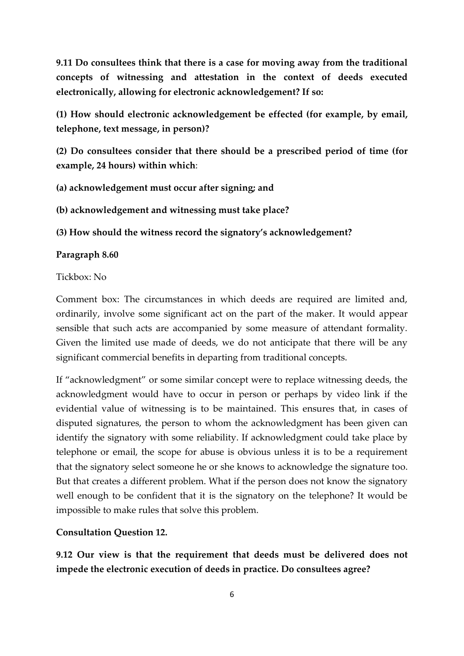**9.11 Do consultees think that there is a case for moving away from the traditional concepts of witnessing and attestation in the context of deeds executed electronically, allowing for electronic acknowledgement? If so:**

**(1) How should electronic acknowledgement be effected (for example, by email, telephone, text message, in person)?**

**(2) Do consultees consider that there should be a prescribed period of time (for example, 24 hours) within which**:

**(a) acknowledgement must occur after signing; and**

**(b) acknowledgement and witnessing must take place?**

**(3) How should the witness record the signatory's acknowledgement?**

#### **Paragraph 8.60**

#### Tickbox: No

Comment box: The circumstances in which deeds are required are limited and, ordinarily, involve some significant act on the part of the maker. It would appear sensible that such acts are accompanied by some measure of attendant formality. Given the limited use made of deeds, we do not anticipate that there will be any significant commercial benefits in departing from traditional concepts.

If "acknowledgment" or some similar concept were to replace witnessing deeds, the acknowledgment would have to occur in person or perhaps by video link if the evidential value of witnessing is to be maintained. This ensures that, in cases of disputed signatures, the person to whom the acknowledgment has been given can identify the signatory with some reliability. If acknowledgment could take place by telephone or email, the scope for abuse is obvious unless it is to be a requirement that the signatory select someone he or she knows to acknowledge the signature too. But that creates a different problem. What if the person does not know the signatory well enough to be confident that it is the signatory on the telephone? It would be impossible to make rules that solve this problem.

#### **Consultation Question 12.**

**9.12 Our view is that the requirement that deeds must be delivered does not impede the electronic execution of deeds in practice. Do consultees agree?**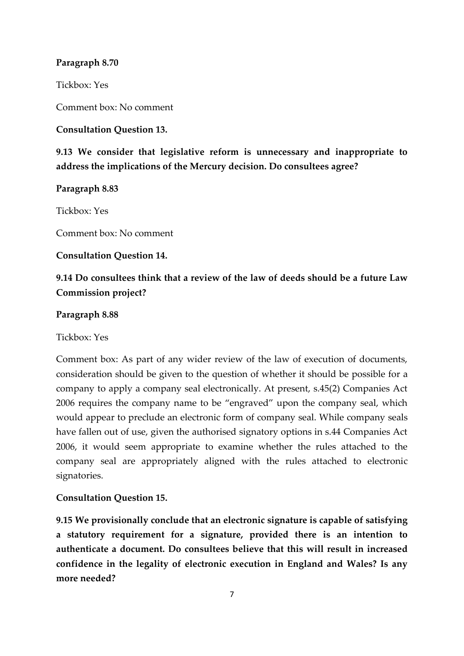## **Paragraph 8.70**

Tickbox: Yes

Comment box: No comment

**Consultation Question 13.**

**9.13 We consider that legislative reform is unnecessary and inappropriate to address the implications of the Mercury decision. Do consultees agree?**

**Paragraph 8.83**

Tickbox: Yes

Comment box: No comment

**Consultation Question 14.**

# **9.14 Do consultees think that a review of the law of deeds should be a future Law Commission project?**

### **Paragraph 8.88**

Tickbox: Yes

Comment box: As part of any wider review of the law of execution of documents, consideration should be given to the question of whether it should be possible for a company to apply a company seal electronically. At present, s.45(2) Companies Act 2006 requires the company name to be "engraved" upon the company seal, which would appear to preclude an electronic form of company seal. While company seals have fallen out of use, given the authorised signatory options in s.44 Companies Act 2006, it would seem appropriate to examine whether the rules attached to the company seal are appropriately aligned with the rules attached to electronic signatories.

## **Consultation Question 15.**

**9.15 We provisionally conclude that an electronic signature is capable of satisfying a statutory requirement for a signature, provided there is an intention to authenticate a document. Do consultees believe that this will result in increased confidence in the legality of electronic execution in England and Wales? Is any more needed?**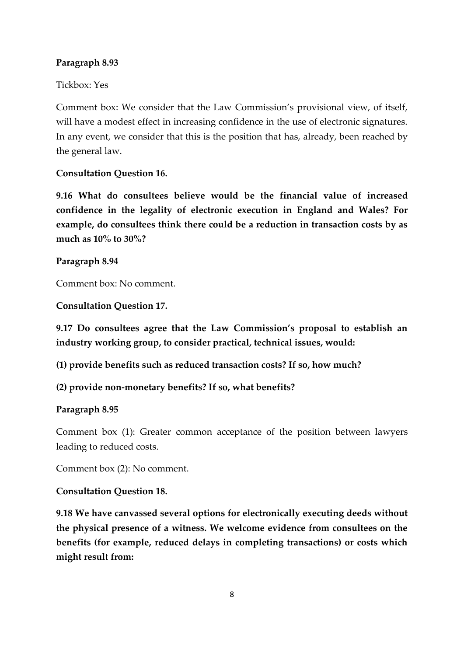## **Paragraph 8.93**

## Tickbox: Yes

Comment box: We consider that the Law Commission's provisional view, of itself, will have a modest effect in increasing confidence in the use of electronic signatures. In any event, we consider that this is the position that has, already, been reached by the general law.

## **Consultation Question 16.**

**9.16 What do consultees believe would be the financial value of increased confidence in the legality of electronic execution in England and Wales? For example, do consultees think there could be a reduction in transaction costs by as much as 10% to 30%?**

## **Paragraph 8.94**

Comment box: No comment.

**Consultation Question 17.**

**9.17 Do consultees agree that the Law Commission's proposal to establish an industry working group, to consider practical, technical issues, would:**

**(1) provide benefits such as reduced transaction costs? If so, how much?**

## **(2) provide non-monetary benefits? If so, what benefits?**

## **Paragraph 8.95**

Comment box (1): Greater common acceptance of the position between lawyers leading to reduced costs.

Comment box (2): No comment.

## **Consultation Question 18.**

**9.18 We have canvassed several options for electronically executing deeds without the physical presence of a witness. We welcome evidence from consultees on the benefits (for example, reduced delays in completing transactions) or costs which might result from:**